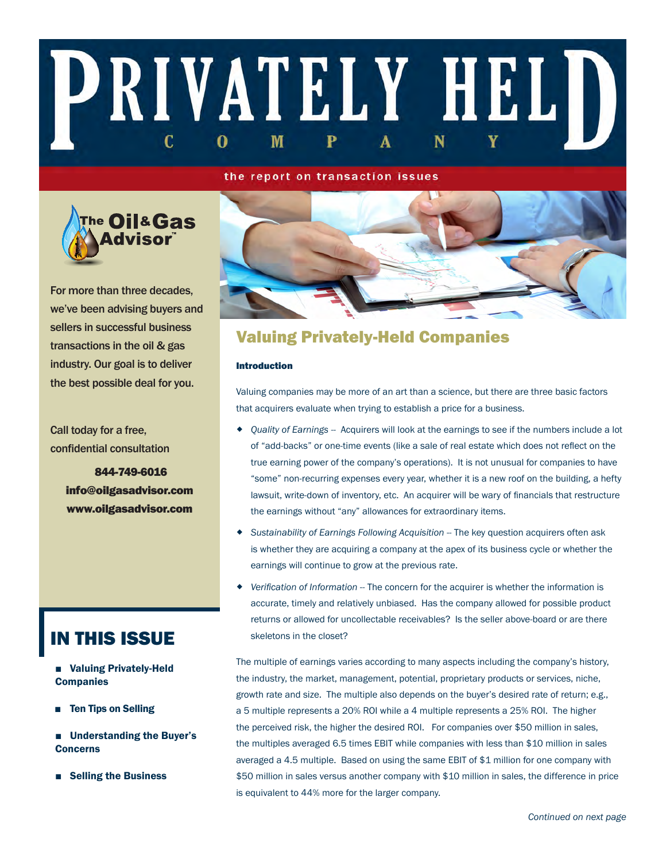# PRIVATELY HELD C M 0

#### the report on transaction issues



For more than three decades, we've been advising buyers and sellers in successful business transactions in the oil & gas industry. Our goal is to deliver the best possible deal for you.

Call today for a free, confidential consultation

> 844-749-6016 info@oilgasadvisor.com www.oilgasadvisor.com

## IN THIS ISSUE

- Valuing Privately-Held **Companies**
- Ten Tips on Selling
- Understanding the Buyer's Concerns
- Selling the Business



## Valuing Privately-Held Companies

#### Introduction

Valuing companies may be more of an art than a science, but there are three basic factors that acquirers evaluate when trying to establish a price for a business.

- *Quality of Earnings --* Acquirers will look at the earnings to see if the numbers include a lot of "add-backs" or one-time events (like a sale of real estate which does not reflect on the true earning power of the company's operations). It is not unusual for companies to have "some" non-recurring expenses every year, whether it is a new roof on the building, a hefty lawsuit, write-down of inventory, etc. An acquirer will be wary of financials that restructure the earnings without "any" allowances for extraordinary items.
- *Sustainability of Earnings Following Acquisition --* The key question acquirers often ask is whether they are acquiring a company at the apex of its business cycle or whether the earnings will continue to grow at the previous rate.
- *Verification of Information --* The concern for the acquirer is whether the information is accurate, timely and relatively unbiased. Has the company allowed for possible product returns or allowed for uncollectable receivables? Is the seller above-board or are there skeletons in the closet?

The multiple of earnings varies according to many aspects including the company's history, the industry, the market, management, potential, proprietary products or services, niche, growth rate and size. The multiple also depends on the buyer's desired rate of return; e.g., a 5 multiple represents a 20% ROI while a 4 multiple represents a 25% ROI. The higher the perceived risk, the higher the desired ROI. For companies over \$50 million in sales, the multiples averaged 6.5 times EBIT while companies with less than \$10 million in sales averaged a 4.5 multiple. Based on using the same EBIT of \$1 million for one company with \$50 million in sales versus another company with \$10 million in sales, the difference in price is equivalent to 44% more for the larger company.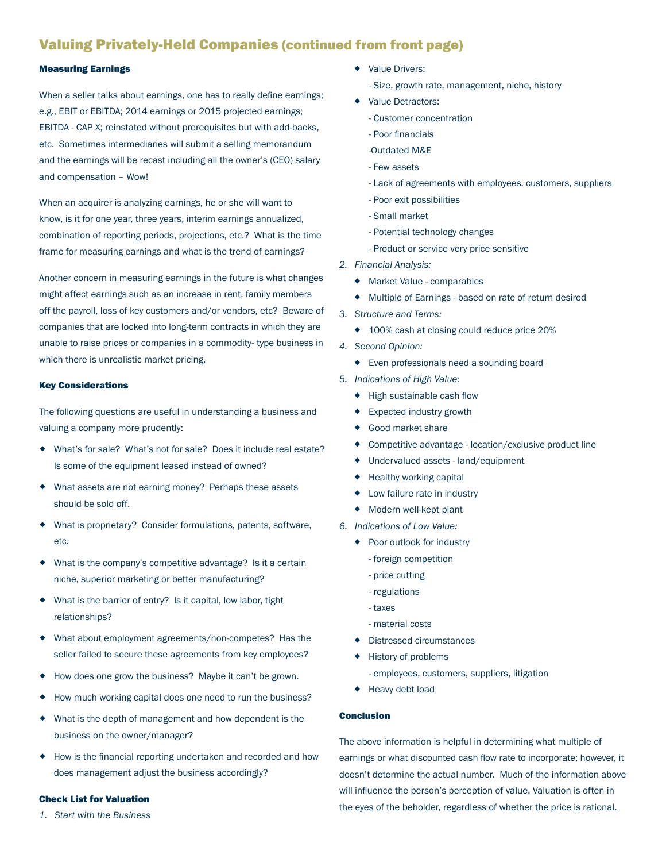## Valuing Privately-Held Companies (continued from front page)

#### Measuring Earnings

When a seller talks about earnings, one has to really define earnings; e.g., EBIT or EBITDA; 2014 earnings or 2015 projected earnings; EBITDA - CAP X; reinstated without prerequisites but with add-backs, etc. Sometimes intermediaries will submit a selling memorandum and the earnings will be recast including all the owner's (CEO) salary and compensation – Wow!

When an acquirer is analyzing earnings, he or she will want to know, is it for one year, three years, interim earnings annualized, combination of reporting periods, projections, etc.? What is the time frame for measuring earnings and what is the trend of earnings?

Another concern in measuring earnings in the future is what changes might affect earnings such as an increase in rent, family members off the payroll, loss of key customers and/or vendors, etc? Beware of companies that are locked into long-term contracts in which they are unable to raise prices or companies in a commodity- type business in which there is unrealistic market pricing.

#### Key Considerations

The following questions are useful in understanding a business and valuing a company more prudently:

- What's for sale? What's not for sale? Does it include real estate? Is some of the equipment leased instead of owned?
- What assets are not earning money? Perhaps these assets should be sold off.
- What is proprietary? Consider formulations, patents, software, etc.
- What is the company's competitive advantage? Is it a certain niche, superior marketing or better manufacturing?
- What is the barrier of entry? Is it capital, low labor, tight relationships?
- What about employment agreements/non-competes? Has the seller failed to secure these agreements from key employees?
- How does one grow the business? Maybe it can't be grown.
- How much working capital does one need to run the business?
- What is the depth of management and how dependent is the business on the owner/manager?
- How is the financial reporting undertaken and recorded and how does management adjust the business accordingly?

#### Check List for Valuation

*1. Start with the Business*

- ◆ Value Drivers:
	- Size, growth rate, management, niche, history
- Value Detractors:
	- Customer concentration
	- Poor financials
	- -Outdated M&E
	- Few assets
	- Lack of agreements with employees, customers, suppliers
	- Poor exit possibilities
	- Small market
	- Potential technology changes
	- Product or service very price sensitive
- *2. Financial Analysis:* 
	- Market Value comparables
	- Multiple of Earnings based on rate of return desired
- *3. Structure and Terms:* 
	- ◆ 100% cash at closing could reduce price 20%
- *4. Second Opinion:* 
	- Even professionals need a sounding board
- *5. Indications of High Value:*
	- ◆ High sustainable cash flow
	- ◆ Expected industry growth
	- Good market share
	- Competitive advantage location/exclusive product line
	- Undervalued assets land/equipment
	- ◆ Healthy working capital
	- Low failure rate in industry
	- Modern well-kept plant
- *6. Indications of Low Value:*
	- ◆ Poor outlook for industry
		- foreign competition
		- price cutting
		- regulations
		- taxes
		- material costs
	- Distressed circumstances
	- History of problems
		- employees, customers, suppliers, litigation
	- ◆ Heavy debt load

#### Conclusion

The above information is helpful in determining what multiple of earnings or what discounted cash flow rate to incorporate; however, it doesn't determine the actual number. Much of the information above will influence the person's perception of value. Valuation is often in the eyes of the beholder, regardless of whether the price is rational.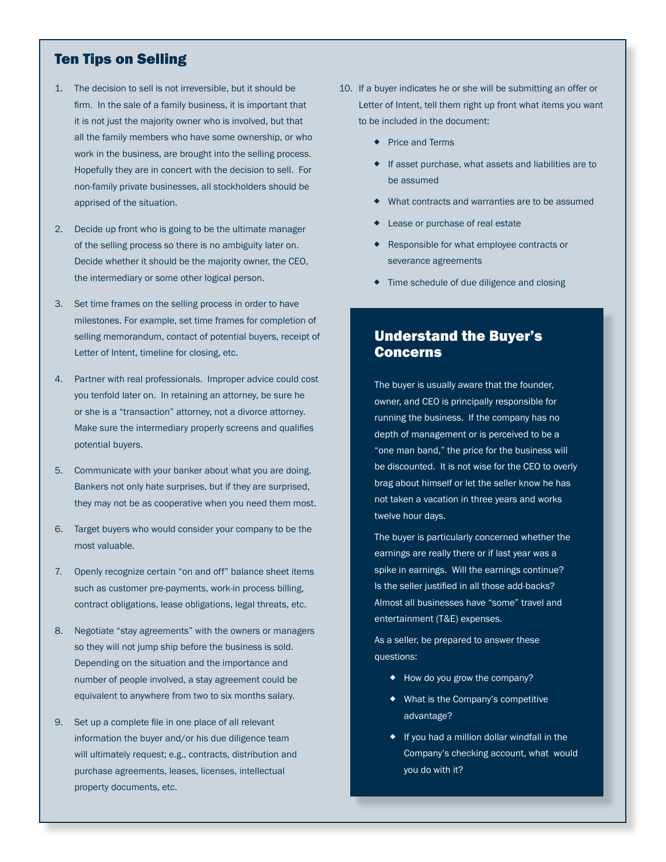### Ten Tips on Selling

- 1. The decision to sell is not irreversible, but it should be firm. In the sale of a family business, it is important that it is not just the majority owner who is involved, but that all the family members who have some ownership, or who work in the business, are brought into the selling process. Hopefully they are in concert with the decision to sell. For non-family private businesses, all stockholders should be apprised of the situation.
- 2. Decide up front who is going to be the ultimate manager of the selling process so there is no ambiguity later on. Decide whether it should be the majority owner, the CEO, the intermediary or some other logical person.
- 3. Set time frames on the selling process in order to have milestones. For example, set time frames for completion of selling memorandum, contact of potential buyers, receipt of Letter of Intent, timeline for closing, etc.
- 4. Partner with real professionals. Improper advice could cost you tenfold later on. In retaining an attorney, be sure he or she is a "transaction" attorney, not a divorce attorney. Make sure the intermediary properly screens and qualifies potential buyers.
- 5. Communicate with your banker about what you are doing. Bankers not only hate surprises, but if they are surprised, they may not be as cooperative when you need them most.
- 6. Target buyers who would consider your company to be the most valuable.
- 7. Openly recognize certain "on and off" balance sheet items such as customer pre-payments, work-in process billing, contract obligations, lease obligations, legal threats, etc.
- 8. Negotiate "stay agreements" with the owners or managers so they will not jump ship before the business is sold. Depending on the situation and the importance and number of people involved, a stay agreement could be equivalent to anywhere from two to six months salary.
- 9. Set up a complete file in one place of all relevant information the buyer and/or his due diligence team will ultimately request; e.g., contracts, distribution and purchase agreements, leases, licenses, intellectual property documents, etc.
- 10. If a buyer indicates he or she will be submitting an offer or Letter of Intent, tell them right up front what items you want to be included in the document:
	- ◆ Price and Terms
	- If asset purchase, what assets and liabilities are to be assumed
	- What contracts and warranties are to be assumed
	- Lease or purchase of real estate
	- Responsible for what employee contracts or severance agreements
	- $\bullet$  Time schedule of due diligence and closing

### Understand the Buyer's Concerns

The buyer is usually aware that the founder, owner, and CEO is principally responsible for running the business. If the company has no depth of management or is perceived to be a "one man band," the price for the business will be discounted. It is not wise for the CEO to overly brag about himself or let the seller know he has not taken a vacation in three years and works twelve hour days.

The buyer is particularly concerned whether the earnings are really there or if last year was a spike in earnings. Will the earnings continue? Is the seller justified in all those add-backs? Almost all businesses have "some" travel and entertainment (T&E) expenses.

As a seller, be prepared to answer these questions:

- ◆ How do you grow the company?
- What is the Company's competitive advantage?
- $\bullet$  If you had a million dollar windfall in the Company's checking account, what would you do with it?